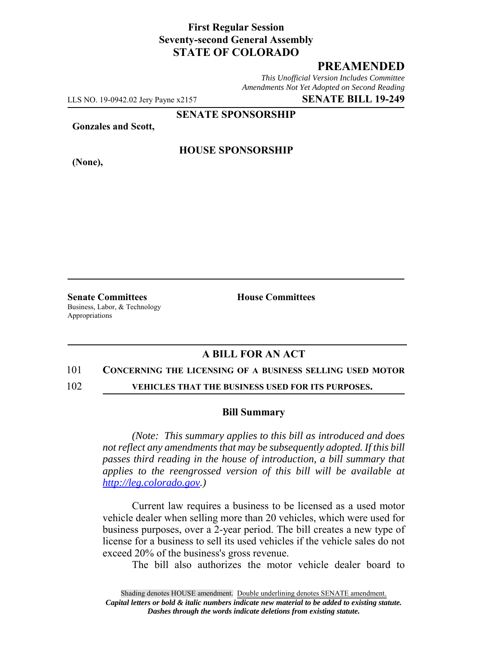# **First Regular Session Seventy-second General Assembly STATE OF COLORADO**

# **PREAMENDED**

*This Unofficial Version Includes Committee Amendments Not Yet Adopted on Second Reading*

LLS NO. 19-0942.02 Jery Payne x2157 **SENATE BILL 19-249**

**SENATE SPONSORSHIP**

**Gonzales and Scott,**

**(None),**

### **HOUSE SPONSORSHIP**

**Senate Committees House Committees** Business, Labor, & Technology Appropriations

## **A BILL FOR AN ACT**

#### 101 **CONCERNING THE LICENSING OF A BUSINESS SELLING USED MOTOR**

102 **VEHICLES THAT THE BUSINESS USED FOR ITS PURPOSES.**

#### **Bill Summary**

*(Note: This summary applies to this bill as introduced and does not reflect any amendments that may be subsequently adopted. If this bill passes third reading in the house of introduction, a bill summary that applies to the reengrossed version of this bill will be available at http://leg.colorado.gov.)*

Current law requires a business to be licensed as a used motor vehicle dealer when selling more than 20 vehicles, which were used for business purposes, over a 2-year period. The bill creates a new type of license for a business to sell its used vehicles if the vehicle sales do not exceed 20% of the business's gross revenue.

The bill also authorizes the motor vehicle dealer board to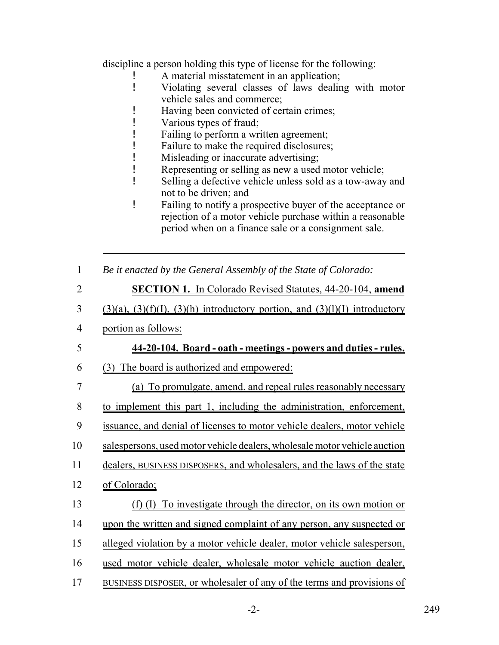discipline a person holding this type of license for the following:

- A material misstatement in an application;
- ! Violating several classes of laws dealing with motor vehicle sales and commerce;
- ! Having been convicted of certain crimes;
- ! Various types of fraud;
- ! Failing to perform a written agreement;
- ! Failure to make the required disclosures;
- ! Misleading or inaccurate advertising;
- ! Representing or selling as new a used motor vehicle;
- ! Selling a defective vehicle unless sold as a tow-away and not to be driven; and
- ! Failing to notify a prospective buyer of the acceptance or rejection of a motor vehicle purchase within a reasonable period when on a finance sale or a consignment sale.
- 1 *Be it enacted by the General Assembly of the State of Colorado:*
- 2 **SECTION 1.** In Colorado Revised Statutes, 44-20-104, **amend**
- $3$  (3)(a), (3)(f)(I), (3)(h) introductory portion, and (3)(l)(I) introductory
- 4 portion as follows:

# 5 **44-20-104. Board - oath - meetings - powers and duties - rules.**

- 6 (3) The board is authorized and empowered:
- 7 (a) To promulgate, amend, and repeal rules reasonably necessary 8 to implement this part 1, including the administration, enforcement, 9 issuance, and denial of licenses to motor vehicle dealers, motor vehicle 10 salespersons, used motor vehicle dealers, wholesale motor vehicle auction 11 dealers, BUSINESS DISPOSERS, and wholesalers, and the laws of the state 12 of Colorado; 13 (f) (I) To investigate through the director, on its own motion or 14 upon the written and signed complaint of any person, any suspected or 15 alleged violation by a motor vehicle dealer, motor vehicle salesperson, 16 used motor vehicle dealer, wholesale motor vehicle auction dealer, 17 BUSINESS DISPOSER, or wholesaler of any of the terms and provisions of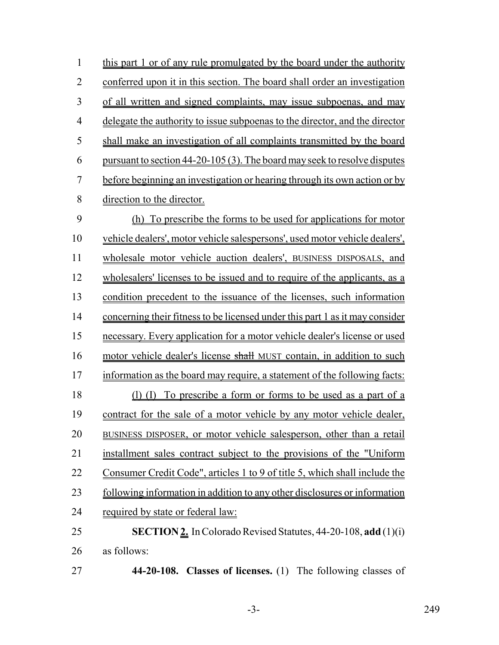| 1              | this part 1 or of any rule promulgated by the board under the authority             |
|----------------|-------------------------------------------------------------------------------------|
| $\overline{2}$ | conferred upon it in this section. The board shall order an investigation           |
| 3              | of all written and signed complaints, may issue subpoenas, and may                  |
| $\overline{4}$ | delegate the authority to issue subpoenas to the director, and the director         |
| 5              | shall make an investigation of all complaints transmitted by the board              |
| 6              | <u>pursuant to section 44-20-105 (3). The board may seek to resolve disputes</u>    |
| 7              | before beginning an investigation or hearing through its own action or by           |
| 8              | direction to the director.                                                          |
| 9              | (h) To prescribe the forms to be used for applications for motor                    |
| 10             | vehicle dealers', motor vehicle salespersons', used motor vehicle dealers',         |
| 11             | wholesale motor vehicle auction dealers', BUSINESS DISPOSALS, and                   |
| 12             | wholesalers' licenses to be issued and to require of the applicants, as a           |
| 13             | condition precedent to the issuance of the licenses, such information               |
| 14             | <u>concerning their fitness to be licensed under this part 1 as it may consider</u> |
| 15             | necessary. Every application for a motor vehicle dealer's license or used           |
| 16             | motor vehicle dealer's license shall MUST contain, in addition to such              |
| 17             | information as the board may require, a statement of the following facts:           |
| 18             | (1) (I) To prescribe a form or forms to be used as a part of a                      |
| 19             | contract for the sale of a motor vehicle by any motor vehicle dealer,               |
| 20             | BUSINESS DISPOSER, or motor vehicle salesperson, other than a retail                |
| 21             | installment sales contract subject to the provisions of the "Uniform                |
| 22             | Consumer Credit Code", articles 1 to 9 of title 5, which shall include the          |
| 23             | following information in addition to any other disclosures or information           |
| 24             | required by state or federal law:                                                   |
| 25             | <b>SECTION 2.</b> In Colorado Revised Statutes, 44-20-108, add (1)(i)               |
| 26             | as follows:                                                                         |
| 27             | 44-20-108. Classes of licenses. (1) The following classes of                        |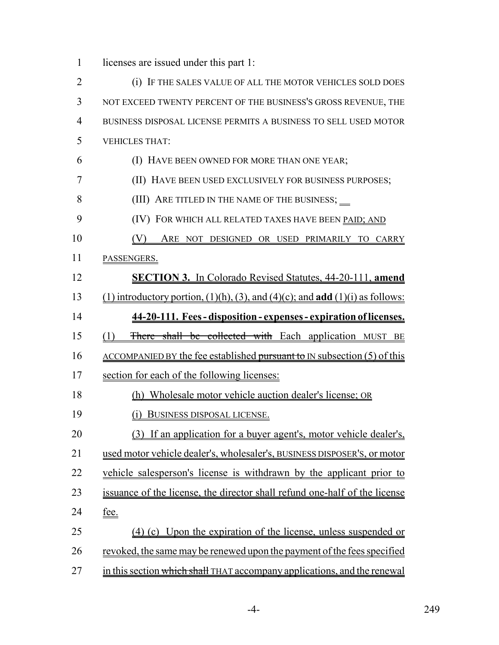licenses are issued under this part 1:

 (i) IF THE SALES VALUE OF ALL THE MOTOR VEHICLES SOLD DOES NOT EXCEED TWENTY PERCENT OF THE BUSINESS'S GROSS REVENUE, THE BUSINESS DISPOSAL LICENSE PERMITS A BUSINESS TO SELL USED MOTOR VEHICLES THAT: (I) HAVE BEEN OWNED FOR MORE THAN ONE YEAR; (II) HAVE BEEN USED EXCLUSIVELY FOR BUSINESS PURPOSES; 8 (III) ARE TITLED IN THE NAME OF THE BUSINESS; 9 (IV) FOR WHICH ALL RELATED TAXES HAVE BEEN PAID; AND (V) ARE NOT DESIGNED OR USED PRIMARILY TO CARRY PASSENGERS. **SECTION 3.** In Colorado Revised Statutes, 44-20-111, **amend** (1) introductory portion, (1)(h), (3), and (4)(c); and **add** (1)(i) as follows: **44-20-111. Fees - disposition - expenses - expiration of licenses.** (1) There shall be collected with Each application MUST BE 16 ACCOMPANIED BY the fee established pursuant to IN subsection (5) of this section for each of the following licenses: (h) Wholesale motor vehicle auction dealer's license; OR (i) BUSINESS DISPOSAL LICENSE. (3) If an application for a buyer agent's, motor vehicle dealer's, used motor vehicle dealer's, wholesaler's, BUSINESS DISPOSER'S, or motor vehicle salesperson's license is withdrawn by the applicant prior to issuance of the license, the director shall refund one-half of the license fee. (4) (c) Upon the expiration of the license, unless suspended or revoked, the same may be renewed upon the payment of the fees specified 27 in this section which shall THAT accompany applications, and the renewal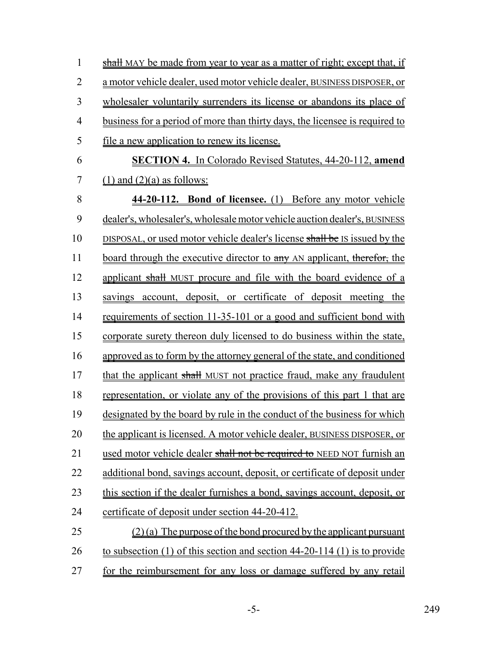| $\mathbf{1}$   | <b>shall</b> MAY be made from year to year as a matter of right; except that, if |
|----------------|----------------------------------------------------------------------------------|
| $\overline{2}$ | a motor vehicle dealer, used motor vehicle dealer, BUSINESS DISPOSER, or         |
| 3              | wholesaler voluntarily surrenders its license or abandons its place of           |
| $\overline{4}$ | business for a period of more than thirty days, the licensee is required to      |
| 5              | <u>file a new application to renew its license.</u>                              |
| 6              | <b>SECTION 4.</b> In Colorado Revised Statutes, 44-20-112, amend                 |
| 7              | $(1)$ and $(2)(a)$ as follows:                                                   |
| 8              | 44-20-112. Bond of licensee. (1) Before any motor vehicle                        |
| 9              | dealer's, wholesaler's, wholesale motor vehicle auction dealer's, BUSINESS       |
| 10             | DISPOSAL, or used motor vehicle dealer's license shall be IS issued by the       |
| 11             | <u>board through the executive director to any AN applicant, therefor, the</u>   |
| 12             | applicant shall MUST procure and file with the board evidence of a               |
| 13             | savings account, deposit, or certificate of deposit meeting the                  |
| 14             | requirements of section 11-35-101 or a good and sufficient bond with             |
| 15             | corporate surety thereon duly licensed to do business within the state,          |
| 16             | approved as to form by the attorney general of the state, and conditioned        |
| 17             | that the applicant shall MUST not practice fraud, make any fraudulent            |
| 18             | representation, or violate any of the provisions of this part 1 that are         |
| 19             | designated by the board by rule in the conduct of the business for which         |
| 20             | the applicant is licensed. A motor vehicle dealer, BUSINESS DISPOSER, or         |
| 21             | used motor vehicle dealer shall not be required to NEED NOT furnish an           |
| 22             | additional bond, savings account, deposit, or certificate of deposit under       |
| 23             | this section if the dealer furnishes a bond, savings account, deposit, or        |
| 24             | certificate of deposit under section 44-20-412.                                  |
| 25             | $(2)$ (a) The purpose of the bond procured by the applicant pursuant             |
| 26             | to subsection $(1)$ of this section and section 44-20-114 $(1)$ is to provide    |
| 27             | for the reimbursement for any loss or damage suffered by any retail              |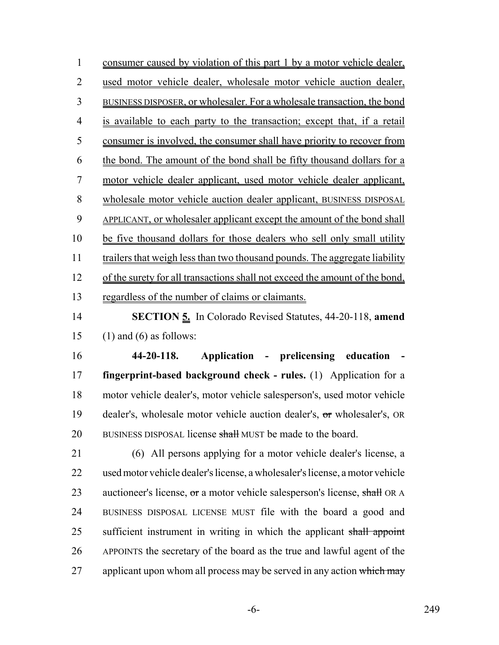consumer caused by violation of this part 1 by a motor vehicle dealer, used motor vehicle dealer, wholesale motor vehicle auction dealer, BUSINESS DISPOSER, or wholesaler. For a wholesale transaction, the bond is available to each party to the transaction; except that, if a retail consumer is involved, the consumer shall have priority to recover from the bond. The amount of the bond shall be fifty thousand dollars for a motor vehicle dealer applicant, used motor vehicle dealer applicant, wholesale motor vehicle auction dealer applicant, BUSINESS DISPOSAL APPLICANT, or wholesaler applicant except the amount of the bond shall be five thousand dollars for those dealers who sell only small utility 11 trailers that weigh less than two thousand pounds. The aggregate liability of the surety for all transactions shall not exceed the amount of the bond, 13 regardless of the number of claims or claimants.

 **SECTION 5.** In Colorado Revised Statutes, 44-20-118, **amend** (1) and (6) as follows:

 **44-20-118. Application - prelicensing education - fingerprint-based background check - rules.** (1) Application for a motor vehicle dealer's, motor vehicle salesperson's, used motor vehicle dealer's, wholesale motor vehicle auction dealer's, or wholesaler's, OR 20 BUSINESS DISPOSAL license shall MUST be made to the board.

 (6) All persons applying for a motor vehicle dealer's license, a used motor vehicle dealer's license, a wholesaler's license, a motor vehicle 23 auctioneer's license, or a motor vehicle salesperson's license, shall OR A BUSINESS DISPOSAL LICENSE MUST file with the board a good and 25 sufficient instrument in writing in which the applicant shall appoint APPOINTS the secretary of the board as the true and lawful agent of the 27 applicant upon whom all process may be served in any action which may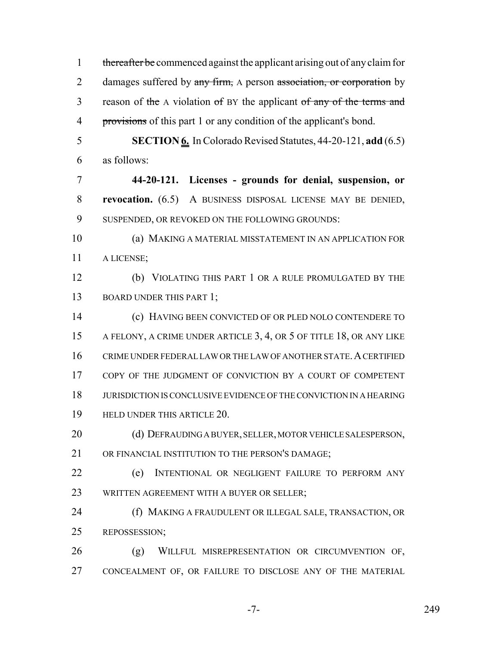1 thereafter be commenced against the applicant arising out of any claim for 2 damages suffered by any firm, A person association, or corporation by 3 reason of the A violation of BY the applicant of any of the terms and provisions of this part 1 or any condition of the applicant's bond. **SECTION 6.** In Colorado Revised Statutes, 44-20-121, **add** (6.5) as follows: **44-20-121. Licenses - grounds for denial, suspension, or revocation.** (6.5) A BUSINESS DISPOSAL LICENSE MAY BE DENIED, 9 SUSPENDED, OR REVOKED ON THE FOLLOWING GROUNDS: (a) MAKING A MATERIAL MISSTATEMENT IN AN APPLICATION FOR A LICENSE; (b) VIOLATING THIS PART 1 OR A RULE PROMULGATED BY THE 13 BOARD UNDER THIS PART 1; (c) HAVING BEEN CONVICTED OF OR PLED NOLO CONTENDERE TO A FELONY, A CRIME UNDER ARTICLE 3, 4, OR 5 OF TITLE 18, OR ANY LIKE 16 CRIME UNDER FEDERAL LAW OR THE LAW OF ANOTHER STATE. A CERTIFIED 17 COPY OF THE JUDGMENT OF CONVICTION BY A COURT OF COMPETENT JURISDICTION IS CONCLUSIVE EVIDENCE OF THE CONVICTION IN A HEARING HELD UNDER THIS ARTICLE 20. 20 (d) DEFRAUDING A BUYER, SELLER, MOTOR VEHICLE SALESPERSON, 21 OR FINANCIAL INSTITUTION TO THE PERSON'S DAMAGE; (e) INTENTIONAL OR NEGLIGENT FAILURE TO PERFORM ANY WRITTEN AGREEMENT WITH A BUYER OR SELLER; (f) MAKING A FRAUDULENT OR ILLEGAL SALE, TRANSACTION, OR REPOSSESSION; (g) WILLFUL MISREPRESENTATION OR CIRCUMVENTION OF, CONCEALMENT OF, OR FAILURE TO DISCLOSE ANY OF THE MATERIAL

-7- 249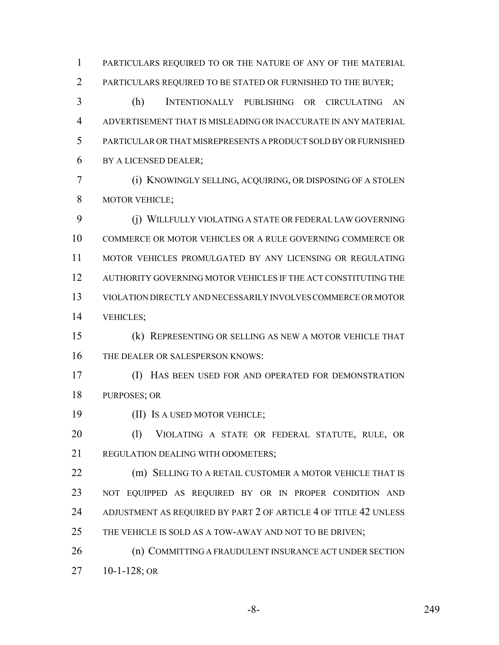PARTICULARS REQUIRED TO OR THE NATURE OF ANY OF THE MATERIAL PARTICULARS REQUIRED TO BE STATED OR FURNISHED TO THE BUYER; (h) INTENTIONALLY PUBLISHING OR CIRCULATING AN

 ADVERTISEMENT THAT IS MISLEADING OR INACCURATE IN ANY MATERIAL PARTICULAR OR THAT MISREPRESENTS A PRODUCT SOLD BY OR FURNISHED BY A LICENSED DEALER;

 (i) KNOWINGLY SELLING, ACQUIRING, OR DISPOSING OF A STOLEN MOTOR VEHICLE;

 (j) WILLFULLY VIOLATING A STATE OR FEDERAL LAW GOVERNING COMMERCE OR MOTOR VEHICLES OR A RULE GOVERNING COMMERCE OR MOTOR VEHICLES PROMULGATED BY ANY LICENSING OR REGULATING AUTHORITY GOVERNING MOTOR VEHICLES IF THE ACT CONSTITUTING THE VIOLATION DIRECTLY AND NECESSARILY INVOLVES COMMERCE OR MOTOR VEHICLES;

 (k) REPRESENTING OR SELLING AS NEW A MOTOR VEHICLE THAT THE DEALER OR SALESPERSON KNOWS:

 (I) HAS BEEN USED FOR AND OPERATED FOR DEMONSTRATION PURPOSES; OR

(II) IS A USED MOTOR VEHICLE;

 (l) VIOLATING A STATE OR FEDERAL STATUTE, RULE, OR 21 REGULATION DEALING WITH ODOMETERS:

**(m) SELLING TO A RETAIL CUSTOMER A MOTOR VEHICLE THAT IS**  NOT EQUIPPED AS REQUIRED BY OR IN PROPER CONDITION AND 24 ADJUSTMENT AS REQUIRED BY PART 2 OF ARTICLE 4 OF TITLE 42 UNLESS 25 THE VEHICLE IS SOLD AS A TOW-AWAY AND NOT TO BE DRIVEN;

26 (n) COMMITTING A FRAUDULENT INSURANCE ACT UNDER SECTION 10-1-128; OR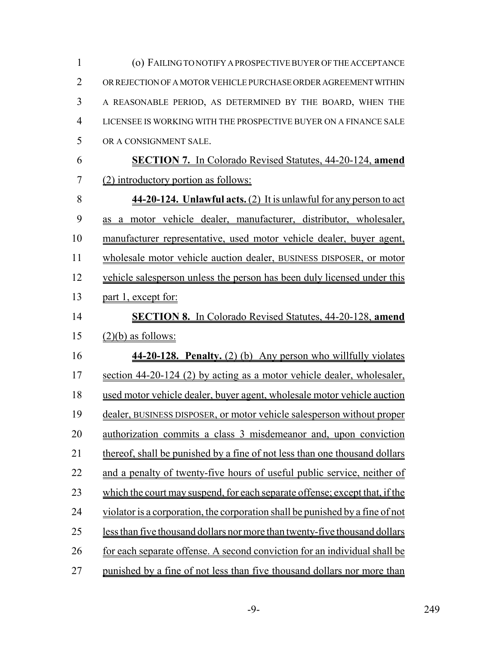| $\mathbf{1}$   | (o) FAILING TO NOTIFY A PROSPECTIVE BUYER OF THE ACCEPTANCE                   |
|----------------|-------------------------------------------------------------------------------|
| $\overline{2}$ | OR REJECTION OF A MOTOR VEHICLE PURCHASE ORDER AGREEMENT WITHIN               |
| 3              | A REASONABLE PERIOD, AS DETERMINED BY THE BOARD, WHEN THE                     |
| $\overline{4}$ | LICENSEE IS WORKING WITH THE PROSPECTIVE BUYER ON A FINANCE SALE              |
| 5              | OR A CONSIGNMENT SALE.                                                        |
| 6              | <b>SECTION 7.</b> In Colorado Revised Statutes, 44-20-124, amend              |
| 7              | (2) introductory portion as follows:                                          |
| 8              | 44-20-124. Unlawful acts. (2) It is unlawful for any person to act            |
| 9              | as a motor vehicle dealer, manufacturer, distributor, wholesaler,             |
| 10             | manufacturer representative, used motor vehicle dealer, buyer agent,          |
| 11             | wholesale motor vehicle auction dealer, BUSINESS DISPOSER, or motor           |
| 12             | vehicle salesperson unless the person has been duly licensed under this       |
| 13             | part 1, except for:                                                           |
| 14             | <b>SECTION 8.</b> In Colorado Revised Statutes, 44-20-128, amend              |
| 15             | $(2)(b)$ as follows:                                                          |
| 16             | 44-20-128. Penalty. (2) (b) Any person who willfully violates                 |
| 17             | section 44-20-124 (2) by acting as a motor vehicle dealer, wholesaler,        |
| 18             | used motor vehicle dealer, buyer agent, wholesale motor vehicle auction       |
| 19             | dealer, BUSINESS DISPOSER, or motor vehicle salesperson without proper        |
| 20             | authorization commits a class 3 misdemeanor and, upon conviction              |
| 21             | thereof, shall be punished by a fine of not less than one thousand dollars    |
| 22             | and a penalty of twenty-five hours of useful public service, neither of       |
| 23             | which the court may suspend, for each separate offense; except that, if the   |
| 24             | violator is a corporation, the corporation shall be punished by a fine of not |
| 25             | less than five thousand dollars nor more than twenty-five thousand dollars    |
| 26             | for each separate offense. A second conviction for an individual shall be     |
| 27             | punished by a fine of not less than five thousand dollars nor more than       |